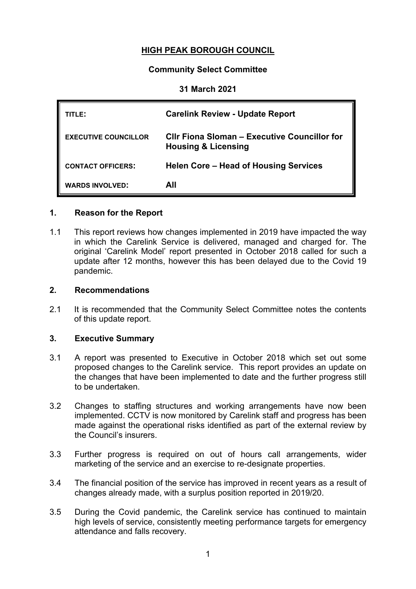# **HIGH PEAK BOROUGH COUNCIL**

## **Community Select Committee**

#### **31 March 2021**

| TITLE:                      | <b>Carelink Review - Update Report</b>                                         |
|-----------------------------|--------------------------------------------------------------------------------|
| <b>EXECUTIVE COUNCILLOR</b> | CIIr Fiona Sloman - Executive Councillor for<br><b>Housing &amp; Licensing</b> |
| <b>CONTACT OFFICERS:</b>    | Helen Core – Head of Housing Services                                          |
| <b>WARDS INVOLVED:</b>      | All                                                                            |

## **1. Reason for the Report**

1.1 This report reviews how changes implemented in 2019 have impacted the way in which the Carelink Service is delivered, managed and charged for. The original 'Carelink Model' report presented in October 2018 called for such a update after 12 months, however this has been delayed due to the Covid 19 pandemic.

#### **2. Recommendations**

2.1 It is recommended that the Community Select Committee notes the contents of this update report.

### **3. Executive Summary**

- 3.1 A report was presented to Executive in October 2018 which set out some proposed changes to the Carelink service. This report provides an update on the changes that have been implemented to date and the further progress still to be undertaken.
- 3.2 Changes to staffing structures and working arrangements have now been implemented. CCTV is now monitored by Carelink staff and progress has been made against the operational risks identified as part of the external review by the Council's insurers.
- 3.3 Further progress is required on out of hours call arrangements, wider marketing of the service and an exercise to re-designate properties.
- 3.4 The financial position of the service has improved in recent years as a result of changes already made, with a surplus position reported in 2019/20.
- 3.5 During the Covid pandemic, the Carelink service has continued to maintain high levels of service, consistently meeting performance targets for emergency attendance and falls recovery.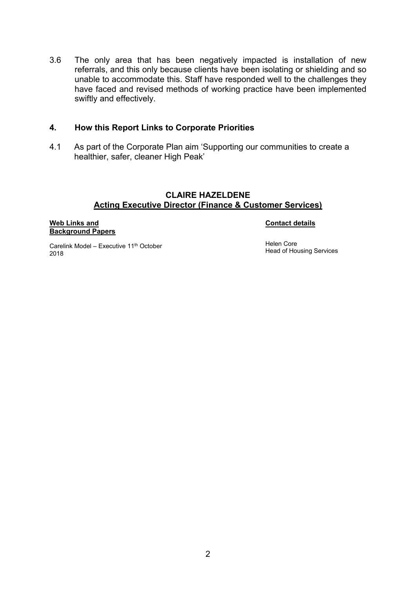3.6 The only area that has been negatively impacted is installation of new referrals, and this only because clients have been isolating or shielding and so unable to accommodate this. Staff have responded well to the challenges they have faced and revised methods of working practice have been implemented swiftly and effectively.

#### **4. How this Report Links to Corporate Priorities**

4.1 As part of the Corporate Plan aim 'Supporting our communities to create a healthier, safer, cleaner High Peak'

#### **CLAIRE HAZELDENE Acting Executive Director (Finance & Customer Services)**

#### **Web Links and Background Papers**

#### **Contact details**

Carelink Model – Executive 11th October 2018

Helen Core Head of Housing Services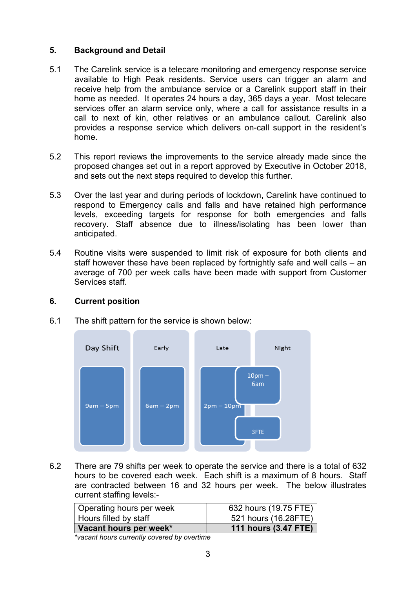# **5. Background and Detail**

- 5.1 The Carelink service is a telecare monitoring and emergency response service available to High Peak residents. Service users can trigger an alarm and receive help from the ambulance service or a Carelink support staff in their home as needed. It operates 24 hours a day, 365 days a year. Most telecare services offer an alarm service only, where a call for assistance results in a call to next of kin, other relatives or an ambulance callout. Carelink also provides a response service which delivers on-call support in the resident's home.
- 5.2 This report reviews the improvements to the service already made since the proposed changes set out in a report approved by Executive in October 2018, and sets out the next steps required to develop this further.
- 5.3 Over the last year and during periods of lockdown, Carelink have continued to respond to Emergency calls and falls and have retained high performance levels, exceeding targets for response for both emergencies and falls recovery. Staff absence due to illness/isolating has been lower than anticipated.
- 5.4 Routine visits were suspended to limit risk of exposure for both clients and staff however these have been replaced by fortnightly safe and well calls – an average of 700 per week calls have been made with support from Customer Services staff.

### **6. Current position**



6.1 The shift pattern for the service is shown below:

6.2 There are 79 shifts per week to operate the service and there is a total of 632 hours to be covered each week. Each shift is a maximum of 8 hours. Staff are contracted between 16 and 32 hours per week. The below illustrates current staffing levels:-

| Operating hours per week | 632 hours (19.75 FTE)       |
|--------------------------|-----------------------------|
| Hours filled by staff    | 521 hours (16.28FTE)        |
| Vacant hours per week*   | <b>111 hours (3.47 FTE)</b> |

*\*vacant hours currently covered by overtime*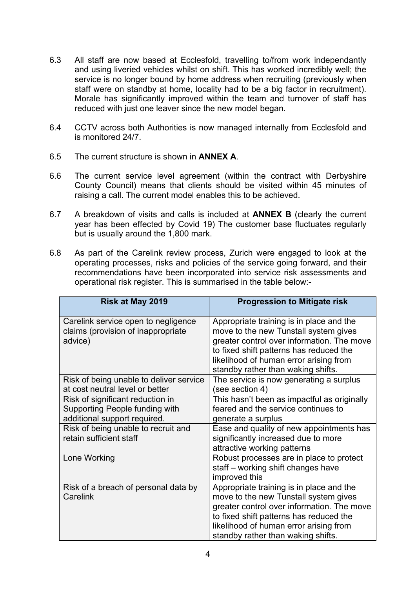- 6.3 All staff are now based at Ecclesfold, travelling to/from work independantly and using liveried vehicles whilst on shift. This has worked incredibly well; the service is no longer bound by home address when recruiting (previously when staff were on standby at home, locality had to be a big factor in recruitment). Morale has significantly improved within the team and turnover of staff has reduced with just one leaver since the new model began.
- 6.4 CCTV across both Authorities is now managed internally from Ecclesfold and is monitored 24/7.
- 6.5 The current structure is shown in **ANNEX A**.
- 6.6 The current service level agreement (within the contract with Derbyshire County Council) means that clients should be visited within 45 minutes of raising a call. The current model enables this to be achieved.
- 6.7 A breakdown of visits and calls is included at **ANNEX B** (clearly the current year has been effected by Covid 19) The customer base fluctuates regularly but is usually around the 1,800 mark.
- 6.8 As part of the Carelink review process, Zurich were engaged to look at the operating processes, risks and policies of the service going forward, and their recommendations have been incorporated into service risk assessments and operational risk register. This is summarised in the table below:-

| Risk at May 2019                                                                                   | <b>Progression to Mitigate risk</b>                                                                                                                                                                                                                        |
|----------------------------------------------------------------------------------------------------|------------------------------------------------------------------------------------------------------------------------------------------------------------------------------------------------------------------------------------------------------------|
| Carelink service open to negligence<br>claims (provision of inappropriate<br>advice)               | Appropriate training is in place and the<br>move to the new Tunstall system gives<br>greater control over information. The move<br>to fixed shift patterns has reduced the<br>likelihood of human error arising from<br>standby rather than waking shifts. |
| Risk of being unable to deliver service<br>at cost neutral level or better                         | The service is now generating a surplus<br>(see section 4)                                                                                                                                                                                                 |
| Risk of significant reduction in<br>Supporting People funding with<br>additional support required. | This hasn't been as impactful as originally<br>feared and the service continues to<br>generate a surplus                                                                                                                                                   |
| Risk of being unable to recruit and<br>retain sufficient staff                                     | Ease and quality of new appointments has<br>significantly increased due to more<br>attractive working patterns                                                                                                                                             |
| Lone Working                                                                                       | Robust processes are in place to protect<br>staff – working shift changes have<br>improved this                                                                                                                                                            |
| Risk of a breach of personal data by<br>Carelink                                                   | Appropriate training is in place and the<br>move to the new Tunstall system gives<br>greater control over information. The move<br>to fixed shift patterns has reduced the<br>likelihood of human error arising from<br>standby rather than waking shifts. |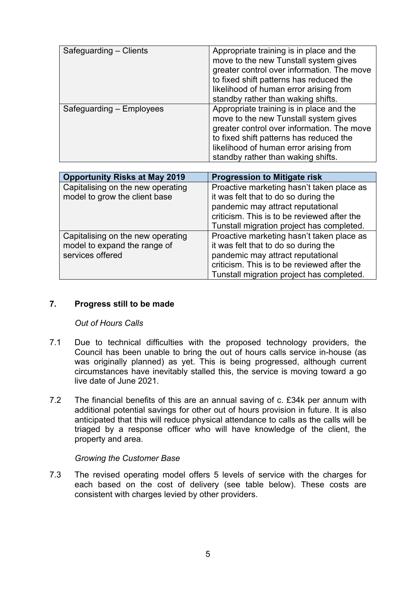| Safeguarding - Clients   | Appropriate training is in place and the<br>move to the new Tunstall system gives<br>greater control over information. The move<br>to fixed shift patterns has reduced the<br>likelihood of human error arising from<br>standby rather than waking shifts. |
|--------------------------|------------------------------------------------------------------------------------------------------------------------------------------------------------------------------------------------------------------------------------------------------------|
| Safeguarding - Employees | Appropriate training is in place and the<br>move to the new Tunstall system gives<br>greater control over information. The move<br>to fixed shift patterns has reduced the<br>likelihood of human error arising from<br>standby rather than waking shifts. |

| <b>Opportunity Risks at May 2019</b>                                                  | <b>Progression to Mitigate risk</b>                                                                                                                                                                                |
|---------------------------------------------------------------------------------------|--------------------------------------------------------------------------------------------------------------------------------------------------------------------------------------------------------------------|
| Capitalising on the new operating<br>model to grow the client base                    | Proactive marketing hasn't taken place as<br>it was felt that to do so during the<br>pandemic may attract reputational<br>criticism. This is to be reviewed after the<br>Tunstall migration project has completed. |
| Capitalising on the new operating<br>model to expand the range of<br>services offered | Proactive marketing hasn't taken place as<br>it was felt that to do so during the<br>pandemic may attract reputational<br>criticism. This is to be reviewed after the<br>Tunstall migration project has completed. |

### **7. Progress still to be made**

### *Out of Hours Calls*

- 7.1 Due to technical difficulties with the proposed technology providers, the Council has been unable to bring the out of hours calls service in-house (as was originally planned) as yet. This is being progressed, although current circumstances have inevitably stalled this, the service is moving toward a go live date of June 2021.
- 7.2 The financial benefits of this are an annual saving of c. £34k per annum with additional potential savings for other out of hours provision in future. It is also anticipated that this will reduce physical attendance to calls as the calls will be triaged by a response officer who will have knowledge of the client, the property and area.

#### *Growing the Customer Base*

7.3 The revised operating model offers 5 levels of service with the charges for each based on the cost of delivery (see table below). These costs are consistent with charges levied by other providers.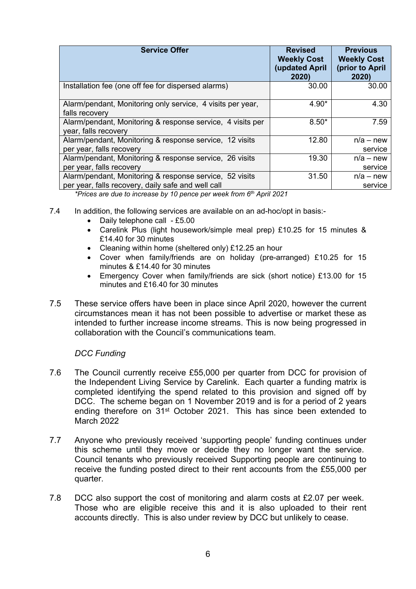| <b>Service Offer</b>                                                                                          | <b>Revised</b><br><b>Weekly Cost</b><br><b>(updated April</b><br>2020) | <b>Previous</b><br><b>Weekly Cost</b><br>(prior to April<br>2020) |
|---------------------------------------------------------------------------------------------------------------|------------------------------------------------------------------------|-------------------------------------------------------------------|
| Installation fee (one off fee for dispersed alarms)                                                           | 30.00                                                                  | 30.00                                                             |
| Alarm/pendant, Monitoring only service, 4 visits per year,<br>falls recovery                                  | 4.90*                                                                  | 4.30                                                              |
| Alarm/pendant, Monitoring & response service, 4 visits per<br>year, falls recovery                            | $8.50*$                                                                | 7.59                                                              |
| Alarm/pendant, Monitoring & response service, 12 visits<br>per year, falls recovery                           | 12.80                                                                  | $n/a$ – new<br>service                                            |
| Alarm/pendant, Monitoring & response service, 26 visits<br>per year, falls recovery                           | 19.30                                                                  | $n/a$ – new<br>service                                            |
| Alarm/pendant, Monitoring & response service, 52 visits<br>per year, falls recovery, daily safe and well call | 31.50                                                                  | $n/a$ – new<br>service                                            |

*\*Prices are due to increase by 10 pence per week from 6 th April 2021*

- 7.4 In addition, the following services are available on an ad-hoc/opt in basis:-
	- Daily telephone call £5.00
	- Carelink Plus (light housework/simple meal prep) £10.25 for 15 minutes & £14.40 for 30 minutes
	- Cleaning within home (sheltered only) £12.25 an hour
	- Cover when family/friends are on holiday (pre-arranged) £10.25 for 15 minutes & £14.40 for 30 minutes
	- Emergency Cover when family/friends are sick (short notice) £13.00 for 15 minutes and £16.40 for 30 minutes
- 7.5 These service offers have been in place since April 2020, however the current circumstances mean it has not been possible to advertise or market these as intended to further increase income streams. This is now being progressed in collaboration with the Council's communications team.

# *DCC Funding*

- 7.6 The Council currently receive £55,000 per quarter from DCC for provision of the Independent Living Service by Carelink. Each quarter a funding matrix is completed identifying the spend related to this provision and signed off by DCC. The scheme began on 1 November 2019 and is for a period of 2 years ending therefore on 31st October 2021. This has since been extended to March 2022
- 7.7 Anyone who previously received 'supporting people' funding continues under this scheme until they move or decide they no longer want the service. Council tenants who previously received Supporting people are continuing to receive the funding posted direct to their rent accounts from the £55,000 per quarter.
- 7.8 DCC also support the cost of monitoring and alarm costs at £2.07 per week. Those who are eligible receive this and it is also uploaded to their rent accounts directly. This is also under review by DCC but unlikely to cease.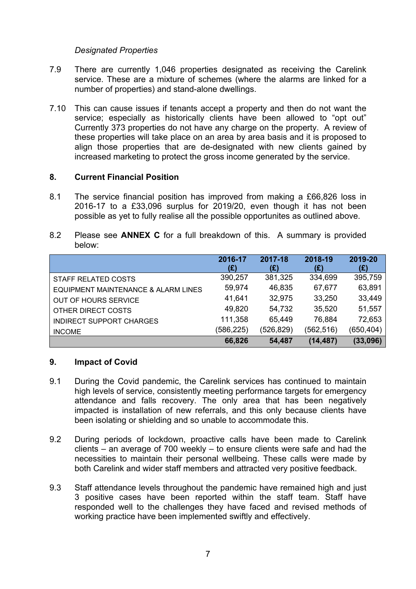# *Designated Properties*

- 7.9 There are currently 1,046 properties designated as receiving the Carelink service. These are a mixture of schemes (where the alarms are linked for a number of properties) and stand-alone dwellings.
- 7.10 This can cause issues if tenants accept a property and then do not want the service; especially as historically clients have been allowed to "opt out" Currently 373 properties do not have any charge on the property. A review of these properties will take place on an area by area basis and it is proposed to align those properties that are de-designated with new clients gained by increased marketing to protect the gross income generated by the service.

### **8. Current Financial Position**

- 8.1 The service financial position has improved from making a £66,826 loss in 2016-17 to a £33,096 surplus for 2019/20, even though it has not been possible as yet to fully realise all the possible opportunites as outlined above.
- 8.2 Please see **ANNEX C** for a full breakdown of this. A summary is provided below:

|                                     | 2016-17<br>(£) | 2017-18<br>(£) | 2018-19<br>(£) | 2019-20<br>(£) |
|-------------------------------------|----------------|----------------|----------------|----------------|
| <b>STAFF RELATED COSTS</b>          | 390,257        | 381,325        | 334,699        | 395,759        |
| EQUIPMENT MAINTENANCE & ALARM LINES | 59,974         | 46,835         | 67,677         | 63,891         |
| <b>OUT OF HOURS SERVICE</b>         | 41,641         | 32,975         | 33,250         | 33,449         |
| OTHER DIRECT COSTS                  | 49,820         | 54,732         | 35,520         | 51,557         |
| <b>INDIRECT SUPPORT CHARGES</b>     | 111,358        | 65,449         | 76,884         | 72,653         |
| <b>INCOME</b>                       | (586, 225)     | (526, 829)     | (562, 516)     | (650, 404)     |
|                                     | 66,826         | 54,487         | (14, 487)      | (33,096)       |

# **9. Impact of Covid**

- 9.1 During the Covid pandemic, the Carelink services has continued to maintain high levels of service, consistently meeting performance targets for emergency attendance and falls recovery. The only area that has been negatively impacted is installation of new referrals, and this only because clients have been isolating or shielding and so unable to accommodate this.
- 9.2 During periods of lockdown, proactive calls have been made to Carelink clients – an average of 700 weekly – to ensure clients were safe and had the necessities to maintain their personal wellbeing. These calls were made by both Carelink and wider staff members and attracted very positive feedback.
- 9.3 Staff attendance levels throughout the pandemic have remained high and just 3 positive cases have been reported within the staff team. Staff have responded well to the challenges they have faced and revised methods of working practice have been implemented swiftly and effectively.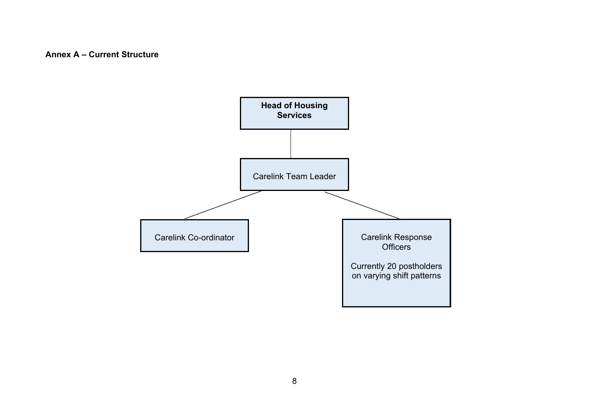## **Annex A – Current Structure**

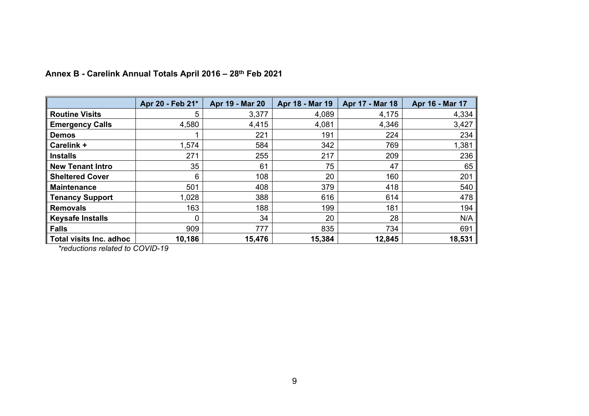|                           | Apr 20 - Feb 21* | Apr 19 - Mar 20 | Apr 18 - Mar 19 | Apr 17 - Mar 18 | Apr 16 - Mar 17 |
|---------------------------|------------------|-----------------|-----------------|-----------------|-----------------|
| <b>Routine Visits</b>     | 5                | 3,377           | 4,089           | 4,175           | 4,334           |
| <b>Emergency Calls</b>    | 4,580            | 4,415           | 4,081           | 4,346           | 3,427           |
| <b>Demos</b>              |                  | 221             | 191             | 224             | 234             |
| Carelink +                | 1,574            | 584             | 342             | 769             | 1,381           |
| <b>Installs</b>           | 271              | 255             | 217             | 209             | 236             |
| <b>New Tenant Intro</b>   | 35               | 61              | 75              | 47              | 65              |
| <b>Sheltered Cover</b>    | 6                | 108             | 20              | 160             | 201             |
| <b>Maintenance</b>        | 501              | 408             | 379             | 418             | 540             |
| <b>Tenancy Support</b>    | 1,028            | 388             | 616             | 614             | 478             |
| <b>Removals</b>           | 163              | 188             | 199             | 181             | 194             |
| <b>Keysafe Installs</b>   | 0                | 34              | 20              | 28              | N/A             |
| <b>Falls</b>              | 909              | 777             | 835             | 734             | 691             |
| ∥ Total visits Inc. adhoc | 10,186           | 15,476          | 15,384          | 12,845          | 18,531          |

# **Annex B - Carelink Annual Totals April 2016 – 28th Feb 2021**

*\*reductions related to COVID-19*